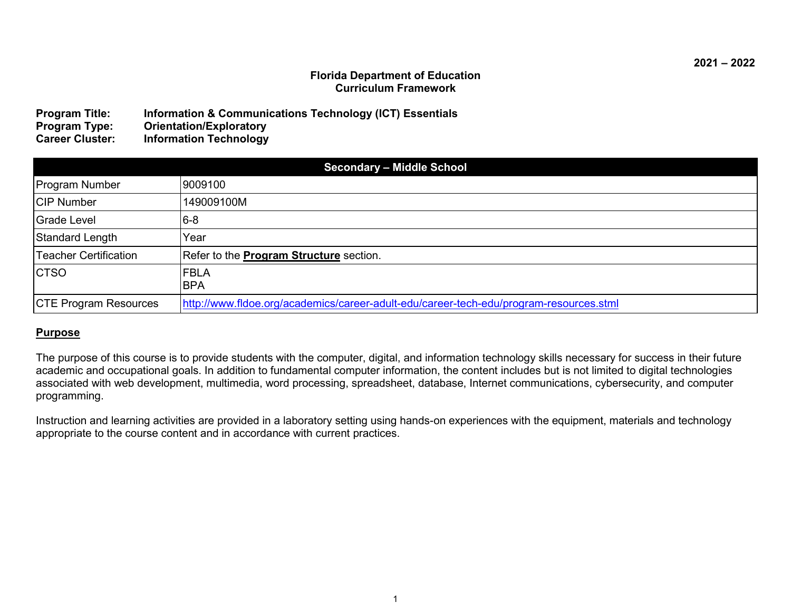### **Florida Department of Education Curriculum Framework**

| <b>Program Title:</b>  | Information & Communications Technology (ICT) Essentials |
|------------------------|----------------------------------------------------------|
| <b>Program Type:</b>   | <b>Orientation/Exploratory</b>                           |
| <b>Career Cluster:</b> | <b>Information Technology</b>                            |

| <b>Secondary - Middle School</b> |                                                                                        |  |
|----------------------------------|----------------------------------------------------------------------------------------|--|
| <b>Program Number</b>            | 9009100                                                                                |  |
| <b>CIP Number</b>                | 149009100M                                                                             |  |
| <b>Grade Level</b>               | $6-8$                                                                                  |  |
| Standard Length                  | lYear                                                                                  |  |
| <b>Teacher Certification</b>     | Refer to the <b>Program Structure</b> section.                                         |  |
| <b>CTSO</b>                      | <b>FBLA</b><br><b>BPA</b>                                                              |  |
| <b>CTE Program Resources</b>     | http://www.fldoe.org/academics/career-adult-edu/career-tech-edu/program-resources.stml |  |

### **Purpose**

The purpose of this course is to provide students with the computer, digital, and information technology skills necessary for success in their future academic and occupational goals. In addition to fundamental computer information, the content includes but is not limited to digital technologies associated with web development, multimedia, word processing, spreadsheet, database, Internet communications, cybersecurity, and computer programming.

Instruction and learning activities are provided in a laboratory setting using hands-on experiences with the equipment, materials and technology appropriate to the course content and in accordance with current practices.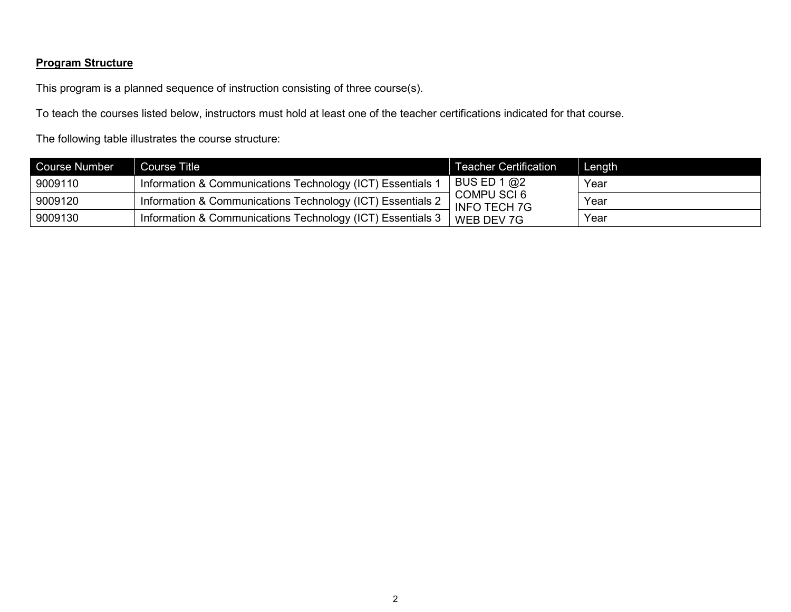# **Program Structure**

This program is a planned sequence of instruction consisting of three course(s).

To teach the courses listed below, instructors must hold at least one of the teacher certifications indicated for that course.

The following table illustrates the course structure:

| <b>Course Number</b> | <b>Course Title</b>                                        | <b>Teacher Certification</b>       | Length |
|----------------------|------------------------------------------------------------|------------------------------------|--------|
| 9009110              | Information & Communications Technology (ICT) Essentials 1 | BUS ED 1 $@2$                      | Year   |
| 9009120              | Information & Communications Technology (ICT) Essentials 2 | COMPU SCI 6<br><b>INFO TECH 7G</b> | Year   |
| 9009130              | Information & Communications Technology (ICT) Essentials 3 | WEB DEV 7G                         | Year   |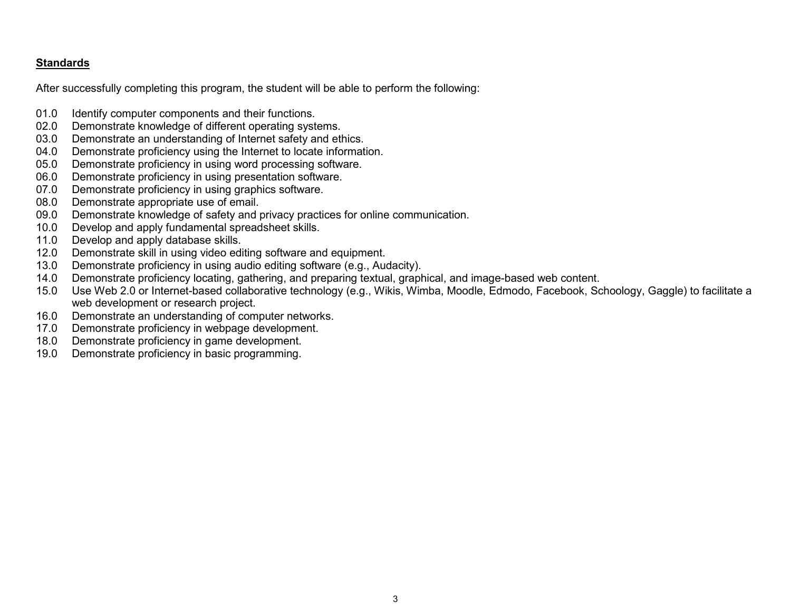## **Standards**

After successfully completing this program, the student will be able to perform the following:

- 01.0 Identify computer components and their functions.<br>02.0 Demonstrate knowledge of different operating syst
- 02.0 Demonstrate knowledge of different operating systems.<br>03.0 Demonstrate an understanding of Internet safety and et
- 03.0 Demonstrate an understanding of Internet safety and ethics.<br>04.0 Demonstrate proficiency using the Internet to locate informat
- Demonstrate proficiency using the Internet to locate information.
- 05.0 Demonstrate proficiency in using word processing software.
- 06.0 Demonstrate proficiency in using presentation software.
- 07.0 Demonstrate proficiency in using graphics software.
- 08.0 Demonstrate appropriate use of email.
- 09.0 Demonstrate knowledge of safety and privacy practices for online communication.
- 10.0 Develop and apply fundamental spreadsheet skills.
- 11.0 Develop and apply database skills.
- 12.0 Demonstrate skill in using video editing software and equipment.<br>13.0 Demonstrate proficiency in using audio editing software (e.g., Au
- Demonstrate proficiency in using audio editing software (e.g., Audacity).
- 14.0 Demonstrate proficiency locating, gathering, and preparing textual, graphical, and image-based web content.
- 15.0 Use Web 2.0 or Internet-based collaborative technology (e.g., Wikis, Wimba, Moodle, Edmodo, Facebook, Schoology, Gaggle) to facilitate a web development or research project.
- 16.0 Demonstrate an understanding of computer networks.
- 17.0 Demonstrate proficiency in webpage development.
- 18.0 Demonstrate proficiency in game development.
- 19.0 Demonstrate proficiency in basic programming.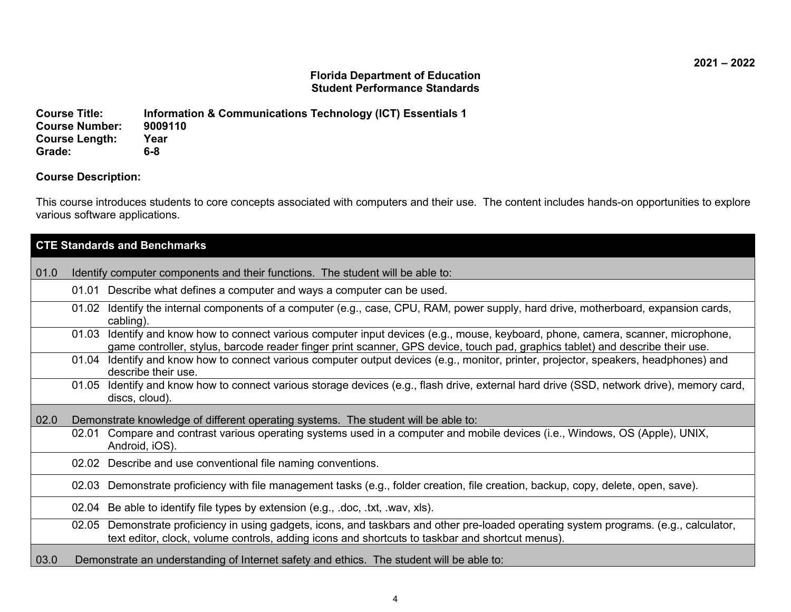## **Florida Department of Education Student Performance Standards**

**Course Title: Information & Communications Technology (ICT) Essentials 1 Course Number: 90091**<br>Course Length: Year **Course Length:** Yea<br>**Grade:** 6-8  $Grade:$ 

## **Course Description:**

This course introduces students to core concepts associated with computers and their use. The content includes hands-on opportunities to explore various software applications.

| <b>CTE Standards and Benchmarks</b>                                                                                                                                                                                                                                   |  |  |
|-----------------------------------------------------------------------------------------------------------------------------------------------------------------------------------------------------------------------------------------------------------------------|--|--|
| 01.0<br>Identify computer components and their functions. The student will be able to:                                                                                                                                                                                |  |  |
| Describe what defines a computer and ways a computer can be used.<br>01.01                                                                                                                                                                                            |  |  |
| 01.02 Identify the internal components of a computer (e.g., case, CPU, RAM, power supply, hard drive, motherboard, expansion cards,<br>cabling).                                                                                                                      |  |  |
| Identify and know how to connect various computer input devices (e.g., mouse, keyboard, phone, camera, scanner, microphone,<br>01.03<br>game controller, stylus, barcode reader finger print scanner, GPS device, touch pad, graphics tablet) and describe their use. |  |  |
| 01.04 Identify and know how to connect various computer output devices (e.g., monitor, printer, projector, speakers, headphones) and<br>describe their use.                                                                                                           |  |  |
| 01.05 Identify and know how to connect various storage devices (e.g., flash drive, external hard drive (SSD, network drive), memory card,<br>discs, cloud).                                                                                                           |  |  |
| 02.0<br>Demonstrate knowledge of different operating systems. The student will be able to:                                                                                                                                                                            |  |  |
| Compare and contrast various operating systems used in a computer and mobile devices (i.e., Windows, OS (Apple), UNIX,<br>02.01<br>Android, iOS).                                                                                                                     |  |  |
| 02.02 Describe and use conventional file naming conventions.                                                                                                                                                                                                          |  |  |
| Demonstrate proficiency with file management tasks (e.g., folder creation, file creation, backup, copy, delete, open, save).<br>02.03                                                                                                                                 |  |  |
| 02.04 Be able to identify file types by extension (e.g., .doc, .txt, .wav, xls).                                                                                                                                                                                      |  |  |
| 02.05 Demonstrate proficiency in using gadgets, icons, and taskbars and other pre-loaded operating system programs. (e.g., calculator,<br>text editor, clock, volume controls, adding icons and shortcuts to taskbar and shortcut menus).                             |  |  |
| 03.0<br>Demonstrate an understanding of Internet safety and ethics. The student will be able to:                                                                                                                                                                      |  |  |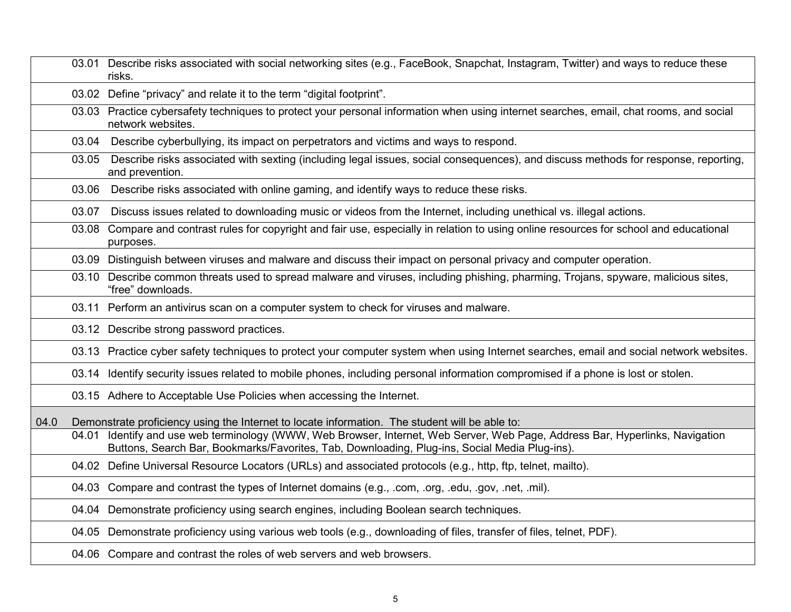|      |       | 03.01 Describe risks associated with social networking sites (e.g., FaceBook, Snapchat, Instagram, Twitter) and ways to reduce these<br>risks.                                                                                 |
|------|-------|--------------------------------------------------------------------------------------------------------------------------------------------------------------------------------------------------------------------------------|
|      |       | 03.02 Define "privacy" and relate it to the term "digital footprint".                                                                                                                                                          |
|      |       | 03.03 Practice cybersafety techniques to protect your personal information when using internet searches, email, chat rooms, and social<br>network websites.                                                                    |
|      | 03.04 | Describe cyberbullying, its impact on perpetrators and victims and ways to respond.                                                                                                                                            |
|      | 03.05 | Describe risks associated with sexting (including legal issues, social consequences), and discuss methods for response, reporting,<br>and prevention.                                                                          |
|      | 03.06 | Describe risks associated with online gaming, and identify ways to reduce these risks.                                                                                                                                         |
|      | 03.07 | Discuss issues related to downloading music or videos from the Internet, including unethical vs. illegal actions.                                                                                                              |
|      | 03.08 | Compare and contrast rules for copyright and fair use, especially in relation to using online resources for school and educational<br>purposes.                                                                                |
|      |       | 03.09 Distinguish between viruses and malware and discuss their impact on personal privacy and computer operation.                                                                                                             |
|      |       | 03.10 Describe common threats used to spread malware and viruses, including phishing, pharming, Trojans, spyware, malicious sites,<br>"free" downloads.                                                                        |
|      |       | 03.11 Perform an antivirus scan on a computer system to check for viruses and malware.                                                                                                                                         |
|      |       | 03.12 Describe strong password practices.                                                                                                                                                                                      |
|      |       | 03.13 Practice cyber safety techniques to protect your computer system when using Internet searches, email and social network websites.                                                                                        |
|      |       | 03.14 Identify security issues related to mobile phones, including personal information compromised if a phone is lost or stolen.                                                                                              |
|      |       | 03.15 Adhere to Acceptable Use Policies when accessing the Internet.                                                                                                                                                           |
| 04.0 |       | Demonstrate proficiency using the Internet to locate information. The student will be able to:                                                                                                                                 |
|      |       | 04.01 Identify and use web terminology (WWW, Web Browser, Internet, Web Server, Web Page, Address Bar, Hyperlinks, Navigation<br>Buttons, Search Bar, Bookmarks/Favorites, Tab, Downloading, Plug-ins, Social Media Plug-ins). |
|      |       | 04.02 Define Universal Resource Locators (URLs) and associated protocols (e.g., http, ftp, telnet, mailto).                                                                                                                    |
|      |       | 04.03 Compare and contrast the types of Internet domains (e.g., .com, .org, .edu, .gov, .net, .mil).                                                                                                                           |
|      |       | 04.04 Demonstrate proficiency using search engines, including Boolean search techniques.                                                                                                                                       |
|      |       | 04.05 Demonstrate proficiency using various web tools (e.g., downloading of files, transfer of files, telnet, PDF).                                                                                                            |
|      |       | 04.06 Compare and contrast the roles of web servers and web browsers.                                                                                                                                                          |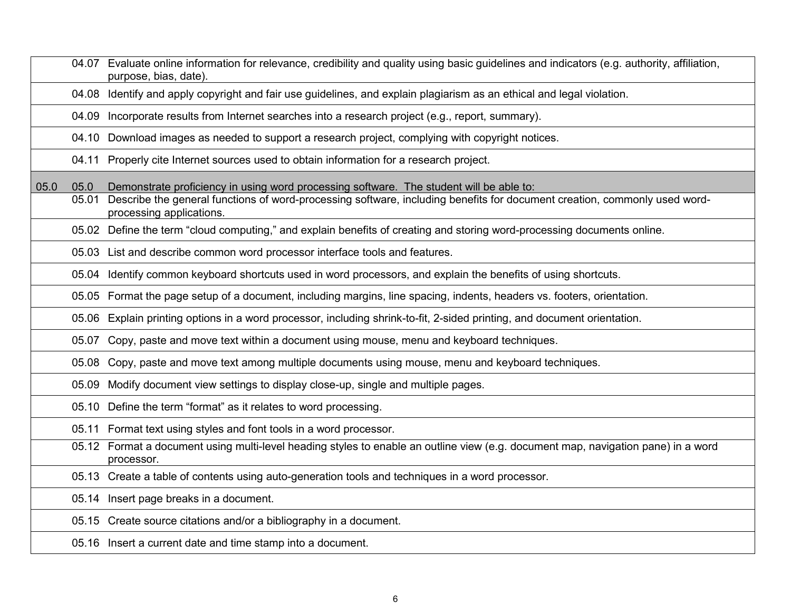|      |               | 04.07 Evaluate online information for relevance, credibility and quality using basic guidelines and indicators (e.g. authority, affiliation,<br>purpose, bias, date)                                                 |
|------|---------------|----------------------------------------------------------------------------------------------------------------------------------------------------------------------------------------------------------------------|
|      |               | 04.08 Identify and apply copyright and fair use guidelines, and explain plagiarism as an ethical and legal violation.                                                                                                |
|      |               | 04.09 Incorporate results from Internet searches into a research project (e.g., report, summary).                                                                                                                    |
|      |               | 04.10 Download images as needed to support a research project, complying with copyright notices.                                                                                                                     |
|      | 04.11         | Properly cite Internet sources used to obtain information for a research project.                                                                                                                                    |
| 05.0 | 05.0<br>05.01 | Demonstrate proficiency in using word processing software. The student will be able to:<br>Describe the general functions of word-processing software, including benefits for document creation, commonly used word- |
|      |               | processing applications.                                                                                                                                                                                             |
|      |               | 05.02 Define the term "cloud computing," and explain benefits of creating and storing word-processing documents online.                                                                                              |
|      |               | 05.03 List and describe common word processor interface tools and features.                                                                                                                                          |
|      |               | 05.04 Identify common keyboard shortcuts used in word processors, and explain the benefits of using shortcuts.                                                                                                       |
|      |               | 05.05 Format the page setup of a document, including margins, line spacing, indents, headers vs. footers, orientation.                                                                                               |
|      |               | 05.06 Explain printing options in a word processor, including shrink-to-fit, 2-sided printing, and document orientation.                                                                                             |
|      |               | 05.07 Copy, paste and move text within a document using mouse, menu and keyboard techniques.                                                                                                                         |
|      |               | 05.08 Copy, paste and move text among multiple documents using mouse, menu and keyboard techniques.                                                                                                                  |
|      |               | 05.09 Modify document view settings to display close-up, single and multiple pages.                                                                                                                                  |
|      |               | 05.10 Define the term "format" as it relates to word processing.                                                                                                                                                     |
|      |               | 05.11 Format text using styles and font tools in a word processor.                                                                                                                                                   |
|      |               | 05.12 Format a document using multi-level heading styles to enable an outline view (e.g. document map, navigation pane) in a word<br>processor.                                                                      |
|      |               | 05.13 Create a table of contents using auto-generation tools and techniques in a word processor.                                                                                                                     |
|      |               | 05.14 Insert page breaks in a document.                                                                                                                                                                              |
|      |               | 05.15 Create source citations and/or a bibliography in a document.                                                                                                                                                   |
|      |               | 05.16 Insert a current date and time stamp into a document.                                                                                                                                                          |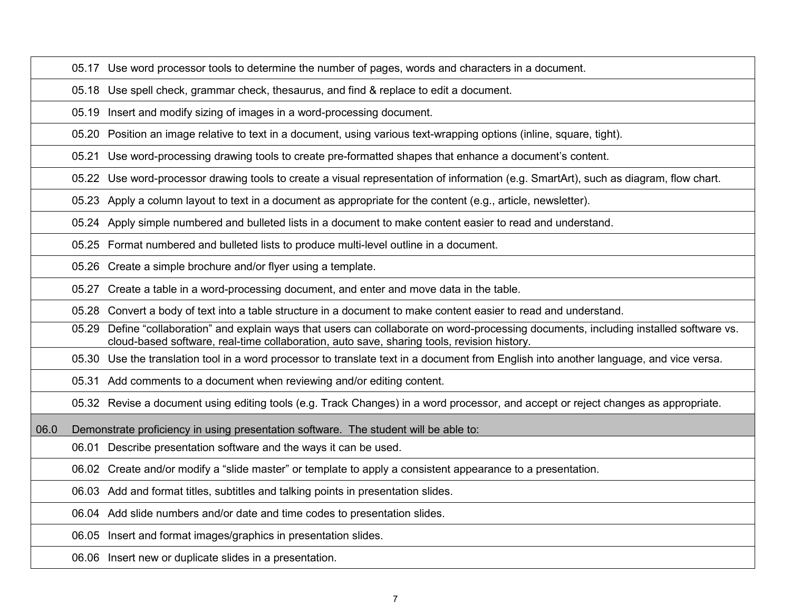05.17 Use word processor tools to determine the number of pages, words and characters in a document.

05.18 Use spell check, grammar check, thesaurus, and find & replace to edit a document.

05.19 Insert and modify sizing of images in a word-processing document.

05.20 Position an image relative to text in a document, using various text-wrapping options (inline, square, tight).

05.21 Use word-processing drawing tools to create pre-formatted shapes that enhance a document's content.

05.22 Use word-processor drawing tools to create a visual representation of information (e.g. SmartArt), such as diagram, flow chart.

05.23 Apply a column layout to text in a document as appropriate for the content (e.g., article, newsletter).

05.24 Apply simple numbered and bulleted lists in a document to make content easier to read and understand.

05.25 Format numbered and bulleted lists to produce multi-level outline in a document.

05.26 Create a simple brochure and/or flyer using a template.

05.27 Create a table in a word-processing document, and enter and move data in the table.

05.28 Convert a body of text into a table structure in a document to make content easier to read and understand.

05.29 Define "collaboration" and explain ways that users can collaborate on word-processing documents, including installed software vs. cloud-based software, real-time collaboration, auto save, sharing tools, revision history.

05.30 Use the translation tool in a word processor to translate text in a document from English into another language, and vice versa.

05.31 Add comments to a document when reviewing and/or editing content.

05.32 Revise a document using editing tools (e.g. Track Changes) in a word processor, and accept or reject changes as appropriate.

06.0 Demonstrate proficiency in using presentation software. The student will be able to:

06.01 Describe presentation software and the ways it can be used.

06.02 Create and/or modify a "slide master" or template to apply a consistent appearance to a presentation.

06.03 Add and format titles, subtitles and talking points in presentation slides.

06.04 Add slide numbers and/or date and time codes to presentation slides.

06.05 Insert and format images/graphics in presentation slides.

06.06 Insert new or duplicate slides in a presentation.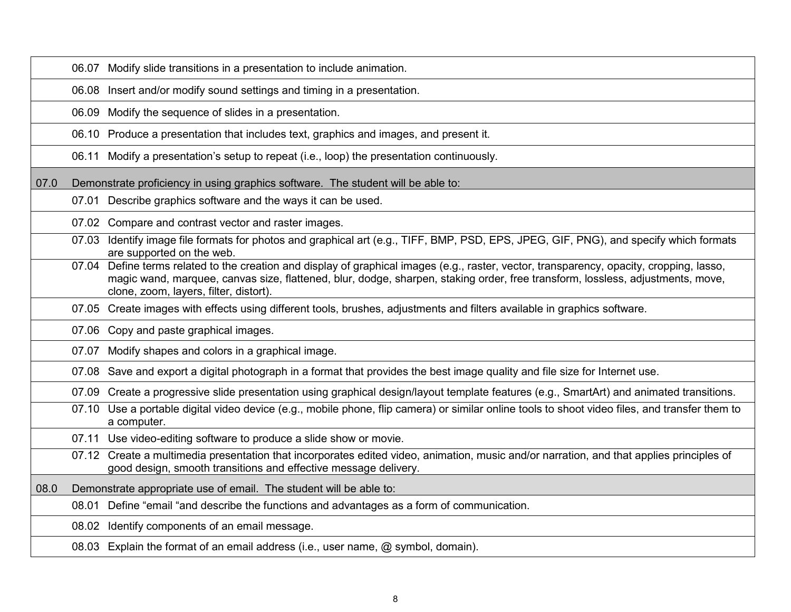|      | 06.07 Modify slide transitions in a presentation to include animation.                                                                                                                                                                                                                                                |
|------|-----------------------------------------------------------------------------------------------------------------------------------------------------------------------------------------------------------------------------------------------------------------------------------------------------------------------|
|      | 06.08 Insert and/or modify sound settings and timing in a presentation.                                                                                                                                                                                                                                               |
|      | 06.09 Modify the sequence of slides in a presentation.                                                                                                                                                                                                                                                                |
|      | 06.10 Produce a presentation that includes text, graphics and images, and present it.                                                                                                                                                                                                                                 |
|      | Modify a presentation's setup to repeat (i.e., loop) the presentation continuously.<br>06.11                                                                                                                                                                                                                          |
| 07.0 | Demonstrate proficiency in using graphics software. The student will be able to:                                                                                                                                                                                                                                      |
|      | 07.01 Describe graphics software and the ways it can be used.                                                                                                                                                                                                                                                         |
|      | 07.02 Compare and contrast vector and raster images.                                                                                                                                                                                                                                                                  |
|      | 07.03 Identify image file formats for photos and graphical art (e.g., TIFF, BMP, PSD, EPS, JPEG, GIF, PNG), and specify which formats<br>are supported on the web.                                                                                                                                                    |
|      | 07.04 Define terms related to the creation and display of graphical images (e.g., raster, vector, transparency, opacity, cropping, lasso,<br>magic wand, marquee, canvas size, flattened, blur, dodge, sharpen, staking order, free transform, lossless, adjustments, move,<br>clone, zoom, layers, filter, distort). |
|      | 07.05 Create images with effects using different tools, brushes, adjustments and filters available in graphics software.                                                                                                                                                                                              |
|      | 07.06 Copy and paste graphical images.                                                                                                                                                                                                                                                                                |
|      | 07.07 Modify shapes and colors in a graphical image.                                                                                                                                                                                                                                                                  |
|      | 07.08 Save and export a digital photograph in a format that provides the best image quality and file size for Internet use.                                                                                                                                                                                           |
|      | 07.09 Create a progressive slide presentation using graphical design/layout template features (e.g., SmartArt) and animated transitions.                                                                                                                                                                              |
|      | 07.10 Use a portable digital video device (e.g., mobile phone, flip camera) or similar online tools to shoot video files, and transfer them to<br>a computer.                                                                                                                                                         |
|      | 07.11 Use video-editing software to produce a slide show or movie.                                                                                                                                                                                                                                                    |
|      | 07.12 Create a multimedia presentation that incorporates edited video, animation, music and/or narration, and that applies principles of<br>good design, smooth transitions and effective message delivery.                                                                                                           |
| 08.0 | Demonstrate appropriate use of email. The student will be able to:                                                                                                                                                                                                                                                    |
|      | 08.01 Define "email "and describe the functions and advantages as a form of communication.                                                                                                                                                                                                                            |
|      | 08.02 Identify components of an email message.                                                                                                                                                                                                                                                                        |
|      | 08.03 Explain the format of an email address (i.e., user name, @ symbol, domain).                                                                                                                                                                                                                                     |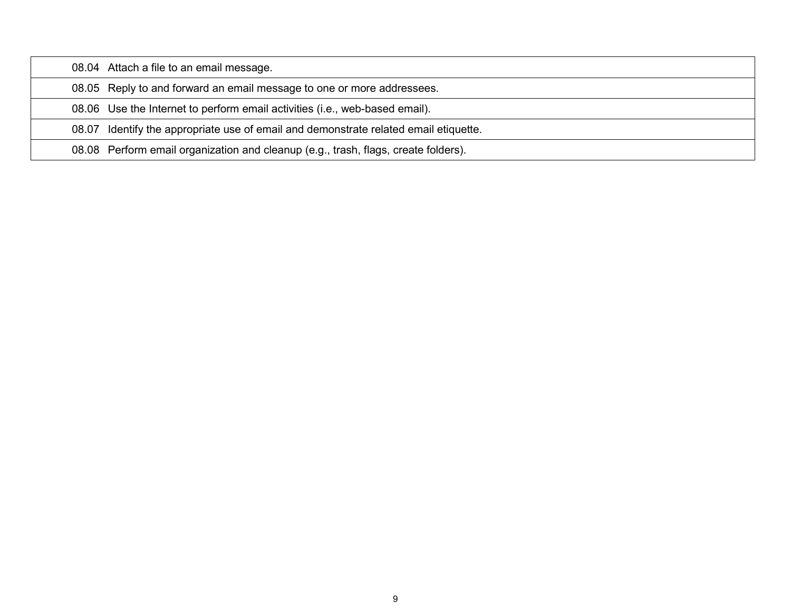| 08.04 Attach a file to an email message.                                             |
|--------------------------------------------------------------------------------------|
| 08.05 Reply to and forward an email message to one or more addressees.               |
| 08.06 Use the Internet to perform email activities (i.e., web-based email).          |
| 08.07 Identify the appropriate use of email and demonstrate related email etiquette. |
| 08.08 Perform email organization and cleanup (e.g., trash, flags, create folders).   |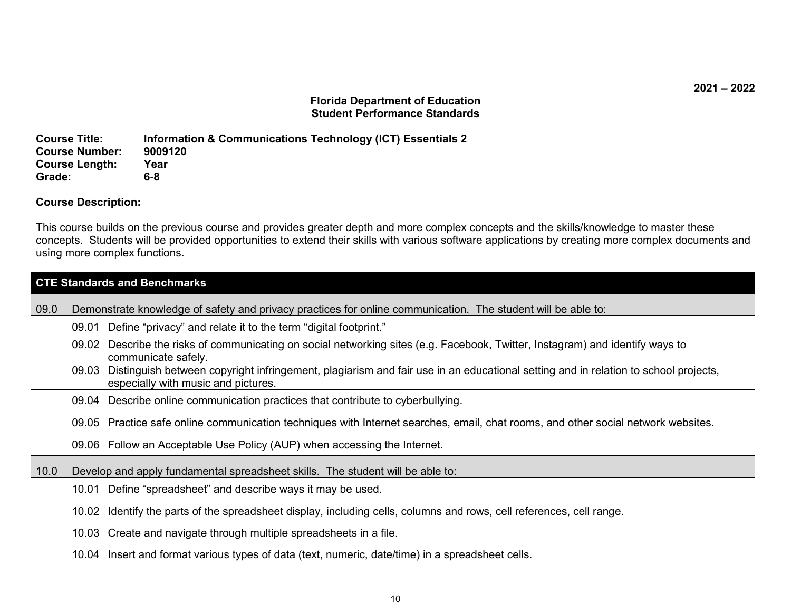### **Florida Department of Education Student Performance Standards**

**Course Title: Information & Communications Technology (ICT) Essentials 2 Course Number: 90091<br>Course Length: Year Course Length:** Yea<br>Grade: 6-8 **Grade: 6-8**

### **Course Description:**

This course builds on the previous course and provides greater depth and more complex concepts and the skills/knowledge to master these concepts. Students will be provided opportunities to extend their skills with various software applications by creating more complex documents and using more complex functions.

|      | <b>CTE Standards and Benchmarks</b>                                                                                                                                               |  |  |  |
|------|-----------------------------------------------------------------------------------------------------------------------------------------------------------------------------------|--|--|--|
| 09.0 | Demonstrate knowledge of safety and privacy practices for online communication. The student will be able to:                                                                      |  |  |  |
|      | 09.01 Define "privacy" and relate it to the term "digital footprint."                                                                                                             |  |  |  |
|      | 09.02 Describe the risks of communicating on social networking sites (e.g. Facebook, Twitter, Instagram) and identify ways to<br>communicate safely.                              |  |  |  |
|      | Distinguish between copyright infringement, plagiarism and fair use in an educational setting and in relation to school projects,<br>09.03<br>especially with music and pictures. |  |  |  |
|      | 09.04 Describe online communication practices that contribute to cyberbullying.                                                                                                   |  |  |  |
|      | 09.05 Practice safe online communication techniques with Internet searches, email, chat rooms, and other social network websites.                                                 |  |  |  |
|      | 09.06 Follow an Acceptable Use Policy (AUP) when accessing the Internet.                                                                                                          |  |  |  |
| 10.0 | Develop and apply fundamental spreadsheet skills. The student will be able to:                                                                                                    |  |  |  |
|      | 10.01 Define "spreadsheet" and describe ways it may be used.                                                                                                                      |  |  |  |
|      | 10.02 Identify the parts of the spreadsheet display, including cells, columns and rows, cell references, cell range.                                                              |  |  |  |
|      | 10.03 Create and navigate through multiple spreadsheets in a file.                                                                                                                |  |  |  |
|      | 10.04 Insert and format various types of data (text, numeric, date/time) in a spreadsheet cells.                                                                                  |  |  |  |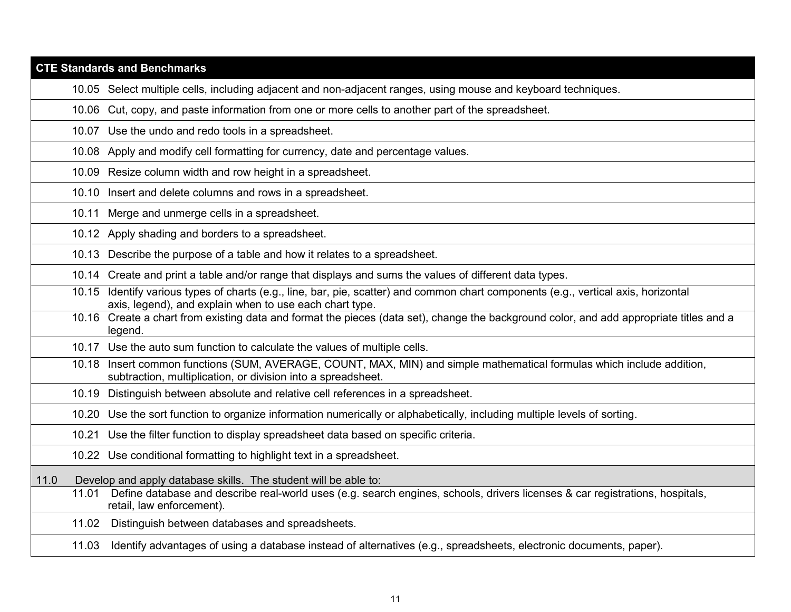|       | <b>CTE Standards and Benchmarks</b>                                                                                                                                                            |
|-------|------------------------------------------------------------------------------------------------------------------------------------------------------------------------------------------------|
|       | 10.05 Select multiple cells, including adjacent and non-adjacent ranges, using mouse and keyboard techniques.                                                                                  |
|       | 10.06 Cut, copy, and paste information from one or more cells to another part of the spreadsheet.                                                                                              |
|       | 10.07 Use the undo and redo tools in a spreadsheet.                                                                                                                                            |
|       | 10.08 Apply and modify cell formatting for currency, date and percentage values.                                                                                                               |
|       | 10.09 Resize column width and row height in a spreadsheet.                                                                                                                                     |
|       | 10.10 Insert and delete columns and rows in a spreadsheet.                                                                                                                                     |
| 10.11 | Merge and unmerge cells in a spreadsheet.                                                                                                                                                      |
|       | 10.12 Apply shading and borders to a spreadsheet.                                                                                                                                              |
|       | 10.13 Describe the purpose of a table and how it relates to a spreadsheet.                                                                                                                     |
|       | 10.14 Create and print a table and/or range that displays and sums the values of different data types.                                                                                         |
|       | 10.15 Identify various types of charts (e.g., line, bar, pie, scatter) and common chart components (e.g., vertical axis, horizontal<br>axis, legend), and explain when to use each chart type. |
|       | 10.16 Create a chart from existing data and format the pieces (data set), change the background color, and add appropriate titles and a<br>legend.                                             |
|       | 10.17 Use the auto sum function to calculate the values of multiple cells.                                                                                                                     |
|       | 10.18 Insert common functions (SUM, AVERAGE, COUNT, MAX, MIN) and simple mathematical formulas which include addition,<br>subtraction, multiplication, or division into a spreadsheet.         |
|       | 10.19 Distinguish between absolute and relative cell references in a spreadsheet.                                                                                                              |
|       | 10.20 Use the sort function to organize information numerically or alphabetically, including multiple levels of sorting.                                                                       |
| 10.21 | Use the filter function to display spreadsheet data based on specific criteria.                                                                                                                |
|       | 10.22 Use conditional formatting to highlight text in a spreadsheet.                                                                                                                           |
| 11.0  | Develop and apply database skills. The student will be able to:                                                                                                                                |
| 11.01 | Define database and describe real-world uses (e.g. search engines, schools, drivers licenses & car registrations, hospitals,<br>retail, law enforcement).                                      |
|       | 11.02 Distinguish between databases and spreadsheets.                                                                                                                                          |
| 11.03 | Identify advantages of using a database instead of alternatives (e.g., spreadsheets, electronic documents, paper).                                                                             |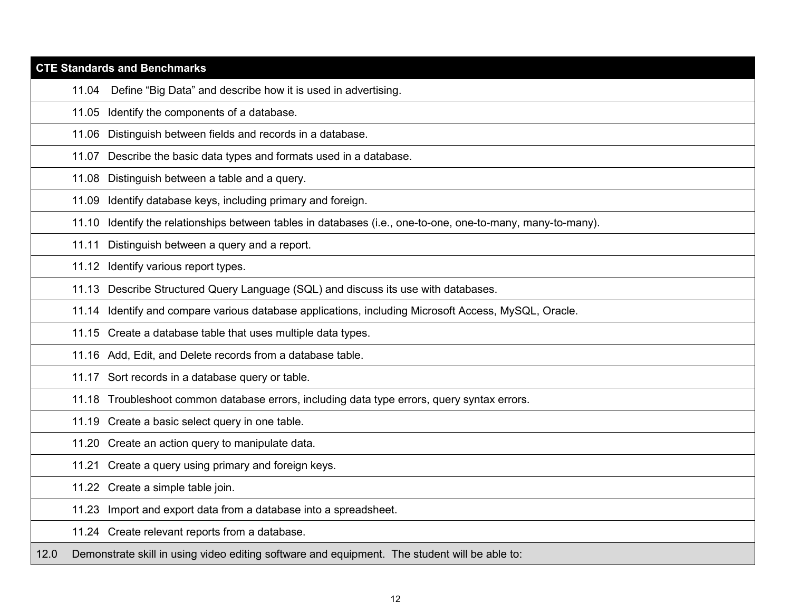|      |       | <b>CTE Standards and Benchmarks</b>                                                                         |
|------|-------|-------------------------------------------------------------------------------------------------------------|
|      | 11.04 | Define "Big Data" and describe how it is used in advertising.                                               |
|      |       | 11.05 Identify the components of a database.                                                                |
|      |       | 11.06 Distinguish between fields and records in a database.                                                 |
|      |       | 11.07 Describe the basic data types and formats used in a database.                                         |
|      |       | 11.08 Distinguish between a table and a query.                                                              |
|      | 11.09 | Identify database keys, including primary and foreign.                                                      |
|      |       | 11.10 Identify the relationships between tables in databases (i.e., one-to-one, one-to-many, many-to-many). |
|      | 11.11 | Distinguish between a query and a report.                                                                   |
|      |       | 11.12 Identify various report types.                                                                        |
|      |       | 11.13 Describe Structured Query Language (SQL) and discuss its use with databases.                          |
|      |       | 11.14 Identify and compare various database applications, including Microsoft Access, MySQL, Oracle.        |
|      |       | 11.15 Create a database table that uses multiple data types.                                                |
|      |       | 11.16 Add, Edit, and Delete records from a database table.                                                  |
|      |       | 11.17 Sort records in a database query or table.                                                            |
|      |       | 11.18 Troubleshoot common database errors, including data type errors, query syntax errors.                 |
|      |       | 11.19 Create a basic select query in one table.                                                             |
|      |       | 11.20 Create an action query to manipulate data.                                                            |
|      |       | 11.21 Create a query using primary and foreign keys.                                                        |
|      |       | 11.22 Create a simple table join.                                                                           |
|      |       | 11.23 Import and export data from a database into a spreadsheet.                                            |
|      |       | 11.24 Create relevant reports from a database.                                                              |
| 12.0 |       | Demonstrate skill in using video editing software and equipment. The student will be able to:               |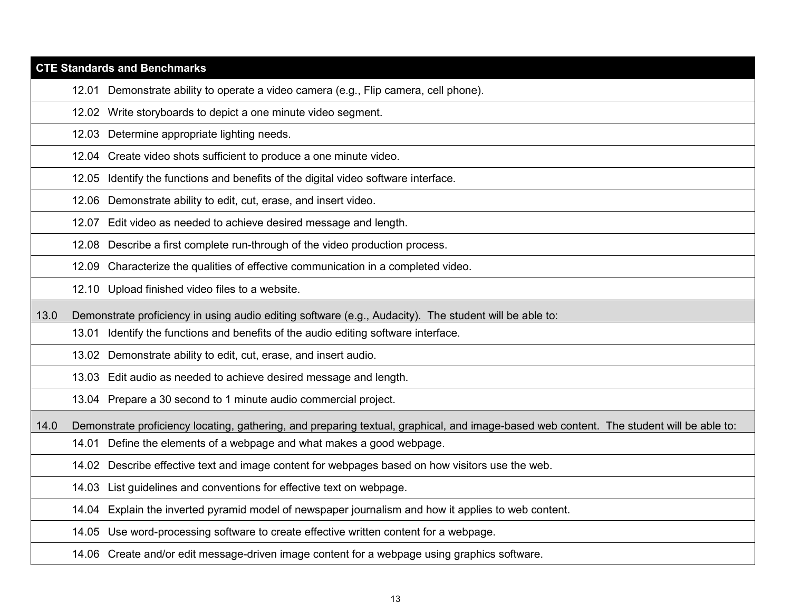|      | <b>CTE Standards and Benchmarks</b>                                                                                                      |
|------|------------------------------------------------------------------------------------------------------------------------------------------|
|      | 12.01 Demonstrate ability to operate a video camera (e.g., Flip camera, cell phone).                                                     |
|      | 12.02 Write storyboards to depict a one minute video segment.                                                                            |
|      | 12.03 Determine appropriate lighting needs.                                                                                              |
|      | 12.04 Create video shots sufficient to produce a one minute video.                                                                       |
|      | Identify the functions and benefits of the digital video software interface.<br>12.05                                                    |
|      | 12.06 Demonstrate ability to edit, cut, erase, and insert video.                                                                         |
|      | 12.07 Edit video as needed to achieve desired message and length.                                                                        |
|      | 12.08 Describe a first complete run-through of the video production process.                                                             |
|      | 12.09 Characterize the qualities of effective communication in a completed video.                                                        |
|      | 12.10 Upload finished video files to a website.                                                                                          |
| 13.0 | Demonstrate proficiency in using audio editing software (e.g., Audacity). The student will be able to:                                   |
|      | Identify the functions and benefits of the audio editing software interface.<br>13.01                                                    |
|      | 13.02 Demonstrate ability to edit, cut, erase, and insert audio.                                                                         |
|      | 13.03 Edit audio as needed to achieve desired message and length.                                                                        |
|      | 13.04 Prepare a 30 second to 1 minute audio commercial project.                                                                          |
| 14.0 | Demonstrate proficiency locating, gathering, and preparing textual, graphical, and image-based web content. The student will be able to: |
|      | Define the elements of a webpage and what makes a good webpage.<br>14.01                                                                 |
|      | 14.02 Describe effective text and image content for webpages based on how visitors use the web.                                          |
|      | 14.03 List guidelines and conventions for effective text on webpage.                                                                     |
|      | 14.04 Explain the inverted pyramid model of newspaper journalism and how it applies to web content.                                      |
|      | Use word-processing software to create effective written content for a webpage.<br>14.05                                                 |
|      | 14.06 Create and/or edit message-driven image content for a webpage using graphics software.                                             |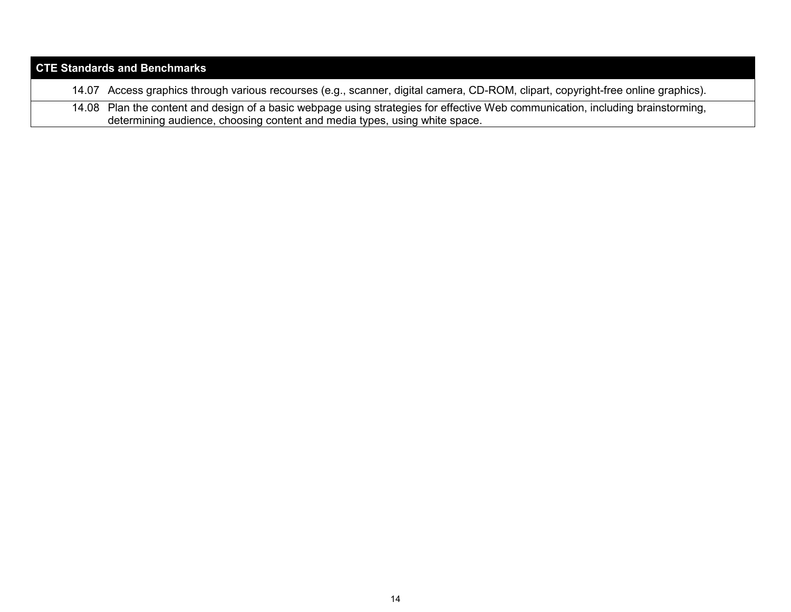| <b>CTE Standards and Benchmarks</b> |                                                                                                                                                                                                               |  |  |
|-------------------------------------|---------------------------------------------------------------------------------------------------------------------------------------------------------------------------------------------------------------|--|--|
|                                     | 14.07 Access graphics through various recourses (e.g., scanner, digital camera, CD-ROM, clipart, copyright-free online graphics).                                                                             |  |  |
|                                     | 14.08 Plan the content and design of a basic webpage using strategies for effective Web communication, including brainstorming,<br>determining audience, choosing content and media types, using white space. |  |  |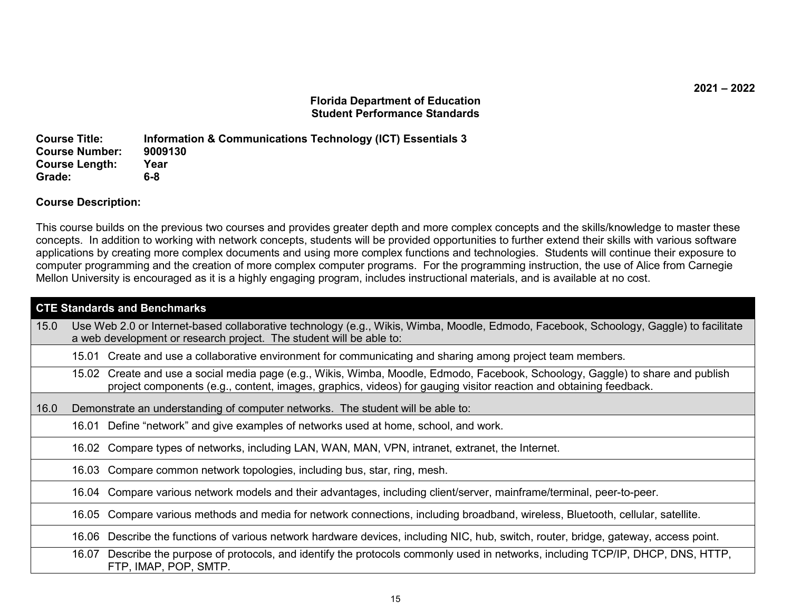### **Florida Department of Education Student Performance Standards**

**Course Title: Information & Communications Technology (ICT) Essentials 3 Course Number: 90091**<br>Course Length: Year **Course Length:** Yea<br>Grade: 6-8  $Grade:$ 

### **Course Description:**

This course builds on the previous two courses and provides greater depth and more complex concepts and the skills/knowledge to master these concepts. In addition to working with network concepts, students will be provided opportunities to further extend their skills with various software applications by creating more complex documents and using more complex functions and technologies. Students will continue their exposure to computer programming and the creation of more complex computer programs. For the programming instruction, the use of Alice from Carnegie Mellon University is encouraged as it is a highly engaging program, includes instructional materials, and is available at no cost.

| <b>CTE Standards and Benchmarks</b>                                                                                                                                                                                                                  |  |  |  |
|------------------------------------------------------------------------------------------------------------------------------------------------------------------------------------------------------------------------------------------------------|--|--|--|
| Use Web 2.0 or Internet-based collaborative technology (e.g., Wikis, Wimba, Moodle, Edmodo, Facebook, Schoology, Gaggle) to facilitate<br>a web development or research project. The student will be able to:                                        |  |  |  |
| 15.01 Create and use a collaborative environment for communicating and sharing among project team members.                                                                                                                                           |  |  |  |
| 15.02 Create and use a social media page (e.g., Wikis, Wimba, Moodle, Edmodo, Facebook, Schoology, Gaggle) to share and publish<br>project components (e.g., content, images, graphics, videos) for gauging visitor reaction and obtaining feedback. |  |  |  |
| Demonstrate an understanding of computer networks. The student will be able to:<br>16.0                                                                                                                                                              |  |  |  |
| 16.01 Define "network" and give examples of networks used at home, school, and work.                                                                                                                                                                 |  |  |  |
| 16.02 Compare types of networks, including LAN, WAN, MAN, VPN, intranet, extranet, the Internet.                                                                                                                                                     |  |  |  |
| 16.03 Compare common network topologies, including bus, star, ring, mesh.                                                                                                                                                                            |  |  |  |
| 16.04 Compare various network models and their advantages, including client/server, mainframe/terminal, peer-to-peer.                                                                                                                                |  |  |  |
| Compare various methods and media for network connections, including broadband, wireless, Bluetooth, cellular, satellite.<br>16.05                                                                                                                   |  |  |  |
| 16.06 Describe the functions of various network hardware devices, including NIC, hub, switch, router, bridge, gateway, access point.                                                                                                                 |  |  |  |
| 16.07 Describe the purpose of protocols, and identify the protocols commonly used in networks, including TCP/IP, DHCP, DNS, HTTP,<br>FTP, IMAP, POP, SMTP.                                                                                           |  |  |  |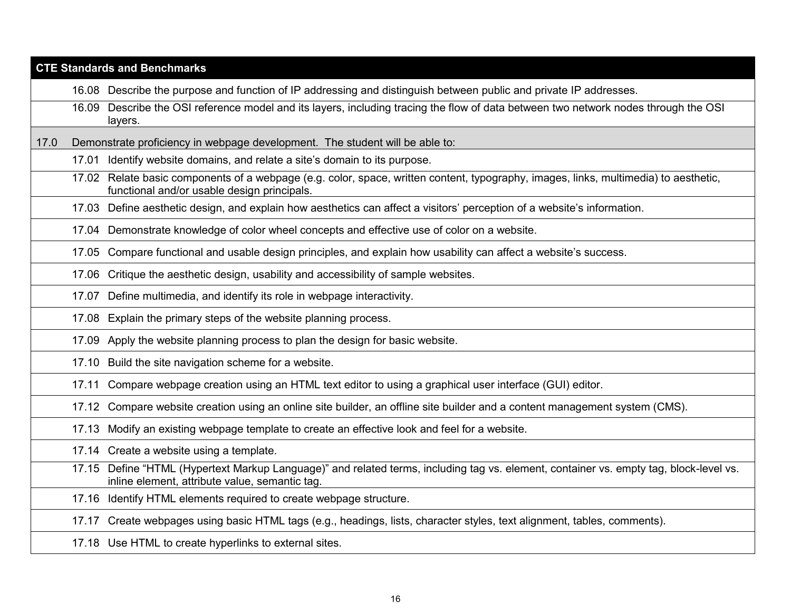| <b>CTE Standards and Benchmarks</b> |       |                                                                                                                                                                                     |  |  |
|-------------------------------------|-------|-------------------------------------------------------------------------------------------------------------------------------------------------------------------------------------|--|--|
|                                     |       | 16.08 Describe the purpose and function of IP addressing and distinguish between public and private IP addresses.                                                                   |  |  |
|                                     | 16.09 | Describe the OSI reference model and its layers, including tracing the flow of data between two network nodes through the OSI<br>layers.                                            |  |  |
| 17.0                                |       | Demonstrate proficiency in webpage development. The student will be able to:                                                                                                        |  |  |
|                                     | 17.01 | Identify website domains, and relate a site's domain to its purpose.                                                                                                                |  |  |
|                                     |       | 17.02 Relate basic components of a webpage (e.g. color, space, written content, typography, images, links, multimedia) to aesthetic,<br>functional and/or usable design principals. |  |  |
|                                     |       | 17.03 Define aesthetic design, and explain how aesthetics can affect a visitors' perception of a website's information.                                                             |  |  |
|                                     |       | 17.04 Demonstrate knowledge of color wheel concepts and effective use of color on a website.                                                                                        |  |  |
|                                     |       | 17.05 Compare functional and usable design principles, and explain how usability can affect a website's success.                                                                    |  |  |
|                                     |       | 17.06 Critique the aesthetic design, usability and accessibility of sample websites.                                                                                                |  |  |
|                                     | 17.07 | Define multimedia, and identify its role in webpage interactivity.                                                                                                                  |  |  |
|                                     |       | 17.08 Explain the primary steps of the website planning process.                                                                                                                    |  |  |
|                                     |       | 17.09 Apply the website planning process to plan the design for basic website.                                                                                                      |  |  |
|                                     |       | 17.10 Build the site navigation scheme for a website.                                                                                                                               |  |  |
|                                     |       | 17.11 Compare webpage creation using an HTML text editor to using a graphical user interface (GUI) editor.                                                                          |  |  |
|                                     |       | 17.12 Compare website creation using an online site builder, an offline site builder and a content management system (CMS).                                                         |  |  |
|                                     |       | 17.13 Modify an existing webpage template to create an effective look and feel for a website.                                                                                       |  |  |
|                                     |       | 17.14 Create a website using a template.                                                                                                                                            |  |  |
|                                     | 17.15 | Define "HTML (Hypertext Markup Language)" and related terms, including tag vs. element, container vs. empty tag, block-level vs.<br>inline element, attribute value, semantic tag.  |  |  |
|                                     |       | 17.16 Identify HTML elements required to create webpage structure.                                                                                                                  |  |  |
|                                     |       | 17.17 Create webpages using basic HTML tags (e.g., headings, lists, character styles, text alignment, tables, comments).                                                            |  |  |
|                                     |       | 17.18 Use HTML to create hyperlinks to external sites.                                                                                                                              |  |  |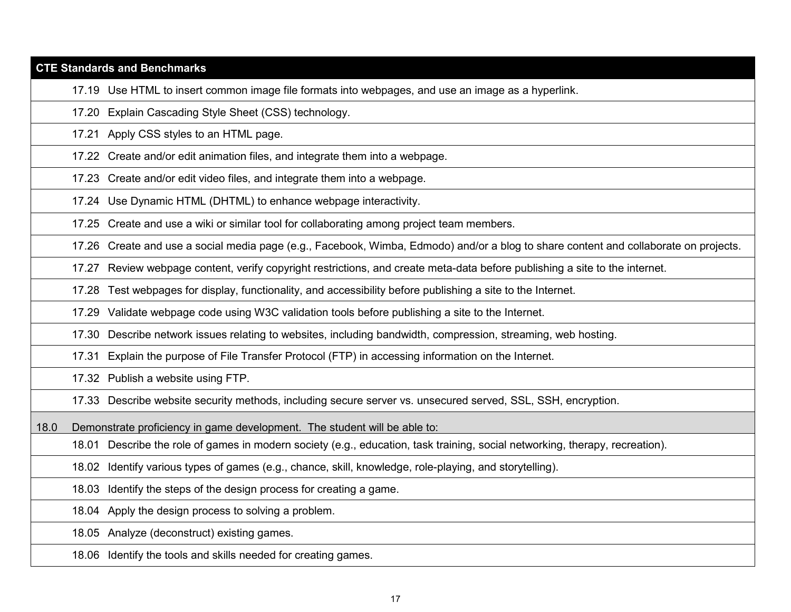# **CTE Standards and Benchmarks** 17.19 Use HTML to insert common image file formats into webpages, and use an image as a hyperlink. 17.20 Explain Cascading Style Sheet (CSS) technology. 17.21 Apply CSS styles to an HTML page.

17.22 Create and/or edit animation files, and integrate them into a webpage.

17.23 Create and/or edit video files, and integrate them into a webpage.

17.24 Use Dynamic HTML (DHTML) to enhance webpage interactivity.

17.25 Create and use a wiki or similar tool for collaborating among project team members.

17.26 Create and use a social media page (e.g., Facebook, Wimba, Edmodo) and/or a blog to share content and collaborate on projects.

17.27 Review webpage content, verify copyright restrictions, and create meta-data before publishing a site to the internet.

17.28 Test webpages for display, functionality, and accessibility before publishing a site to the Internet.

17.29 Validate webpage code using W3C validation tools before publishing a site to the Internet.

17.30 Describe network issues relating to websites, including bandwidth, compression, streaming, web hosting.

17.31 Explain the purpose of File Transfer Protocol (FTP) in accessing information on the Internet.

17.32 Publish a website using FTP.

17.33 Describe website security methods, including secure server vs. unsecured served, SSL, SSH, encryption.

18.0 Demonstrate proficiency in game development. The student will be able to:

18.01 Describe the role of games in modern society (e.g., education, task training, social networking, therapy, recreation).

18.02 Identify various types of games (e.g., chance, skill, knowledge, role-playing, and storytelling).

18.03 Identify the steps of the design process for creating a game.

18.04 Apply the design process to solving a problem.

18.05 Analyze (deconstruct) existing games.

18.06 Identify the tools and skills needed for creating games.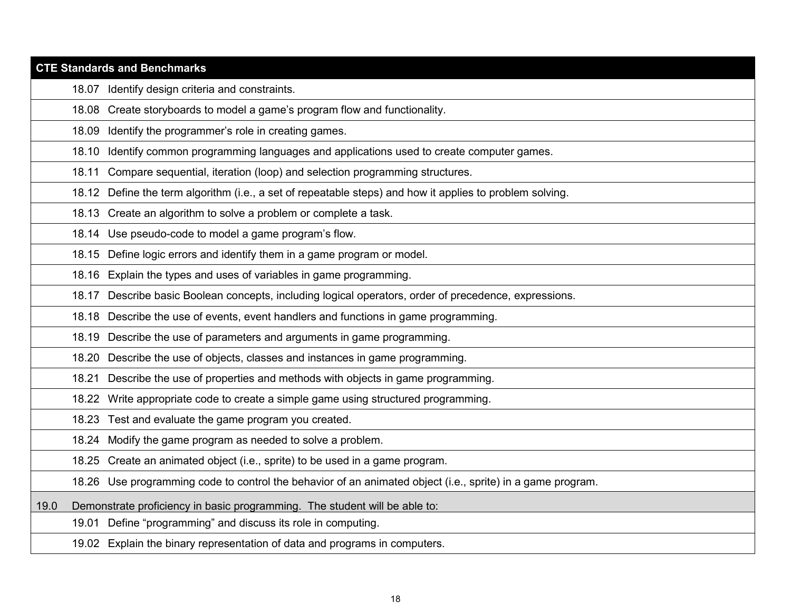|       | <b>CTE Standards and Benchmarks</b>                                                                        |
|-------|------------------------------------------------------------------------------------------------------------|
|       | 18.07 Identify design criteria and constraints.                                                            |
| 18.08 | Create storyboards to model a game's program flow and functionality.                                       |
| 18.09 | Identify the programmer's role in creating games.                                                          |
| 18.10 | Identify common programming languages and applications used to create computer games.                      |
| 18.11 | Compare sequential, iteration (loop) and selection programming structures.                                 |
|       | 18.12 Define the term algorithm (i.e., a set of repeatable steps) and how it applies to problem solving.   |
|       | 18.13 Create an algorithm to solve a problem or complete a task.                                           |
|       | 18.14 Use pseudo-code to model a game program's flow.                                                      |
|       | 18.15 Define logic errors and identify them in a game program or model.                                    |
|       | 18.16 Explain the types and uses of variables in game programming.                                         |
|       | 18.17 Describe basic Boolean concepts, including logical operators, order of precedence, expressions.      |
|       | 18.18 Describe the use of events, event handlers and functions in game programming.                        |
|       | 18.19 Describe the use of parameters and arguments in game programming.                                    |
| 18.20 | Describe the use of objects, classes and instances in game programming.                                    |
| 18.21 | Describe the use of properties and methods with objects in game programming.                               |
| 18.22 | Write appropriate code to create a simple game using structured programming.                               |
|       | 18.23 Test and evaluate the game program you created.                                                      |
|       | 18.24 Modify the game program as needed to solve a problem.                                                |
|       | 18.25 Create an animated object (i.e., sprite) to be used in a game program.                               |
|       | 18.26 Use programming code to control the behavior of an animated object (i.e., sprite) in a game program. |
| 19.0  | Demonstrate proficiency in basic programming. The student will be able to:                                 |
|       | 19.01 Define "programming" and discuss its role in computing.                                              |
|       | 19.02 Explain the binary representation of data and programs in computers.                                 |
|       |                                                                                                            |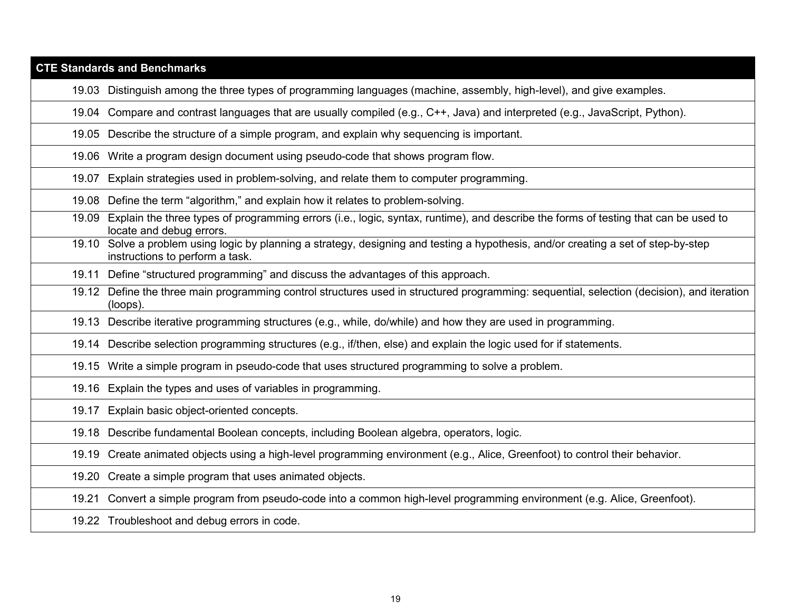| <b>CTE Standards and Benchmarks</b> |                                                                                                                                                                        |  |
|-------------------------------------|------------------------------------------------------------------------------------------------------------------------------------------------------------------------|--|
|                                     | 19.03 Distinguish among the three types of programming languages (machine, assembly, high-level), and give examples.                                                   |  |
|                                     | 19.04 Compare and contrast languages that are usually compiled (e.g., C++, Java) and interpreted (e.g., JavaScript, Python).                                           |  |
|                                     | 19.05 Describe the structure of a simple program, and explain why sequencing is important.                                                                             |  |
|                                     | 19.06 Write a program design document using pseudo-code that shows program flow.                                                                                       |  |
| 19.07                               | Explain strategies used in problem-solving, and relate them to computer programming.                                                                                   |  |
| 19.08                               | Define the term "algorithm," and explain how it relates to problem-solving.                                                                                            |  |
| 19.09                               | Explain the three types of programming errors (i.e., logic, syntax, runtime), and describe the forms of testing that can be used to<br>locate and debug errors.        |  |
|                                     | 19.10 Solve a problem using logic by planning a strategy, designing and testing a hypothesis, and/or creating a set of step-by-step<br>instructions to perform a task. |  |
| 19.11                               | Define "structured programming" and discuss the advantages of this approach.                                                                                           |  |
|                                     | 19.12 Define the three main programming control structures used in structured programming: sequential, selection (decision), and iteration<br>(loops).                 |  |
|                                     | 19.13 Describe iterative programming structures (e.g., while, do/while) and how they are used in programming.                                                          |  |
|                                     | 19.14 Describe selection programming structures (e.g., if/then, else) and explain the logic used for if statements.                                                    |  |
|                                     | 19.15 Write a simple program in pseudo-code that uses structured programming to solve a problem.                                                                       |  |
|                                     | 19.16 Explain the types and uses of variables in programming.                                                                                                          |  |
| 19.17                               | Explain basic object-oriented concepts.                                                                                                                                |  |
|                                     | 19.18 Describe fundamental Boolean concepts, including Boolean algebra, operators, logic.                                                                              |  |
|                                     | 19.19 Create animated objects using a high-level programming environment (e.g., Alice, Greenfoot) to control their behavior.                                           |  |
|                                     | 19.20 Create a simple program that uses animated objects.                                                                                                              |  |
| 19.21                               | Convert a simple program from pseudo-code into a common high-level programming environment (e.g. Alice, Greenfoot).                                                    |  |
|                                     | 19.22 Troubleshoot and debug errors in code.                                                                                                                           |  |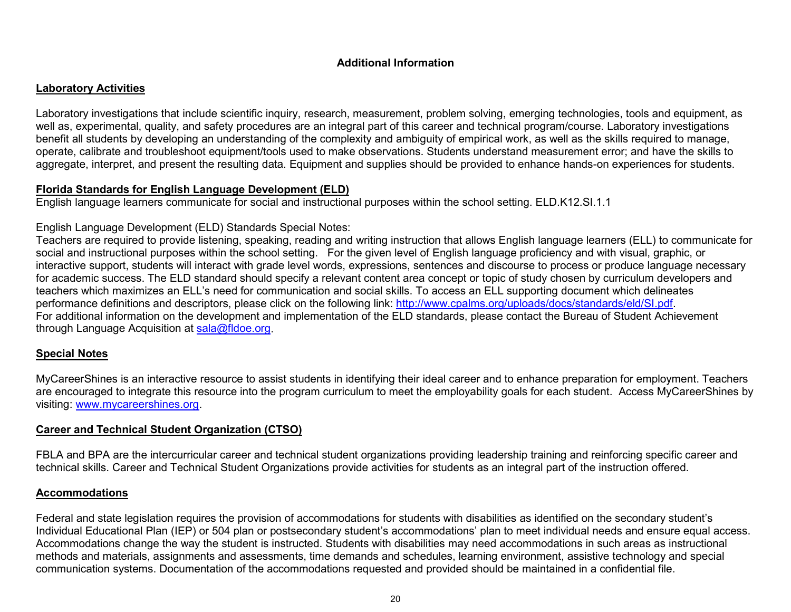## **Additional Information**

## **Laboratory Activities**

Laboratory investigations that include scientific inquiry, research, measurement, problem solving, emerging technologies, tools and equipment, as well as, experimental, quality, and safety procedures are an integral part of this career and technical program/course. Laboratory investigations benefit all students by developing an understanding of the complexity and ambiguity of empirical work, as well as the skills required to manage, operate, calibrate and troubleshoot equipment/tools used to make observations. Students understand measurement error; and have the skills to aggregate, interpret, and present the resulting data. Equipment and supplies should be provided to enhance hands-on experiences for students.

## **Florida Standards for English Language Development (ELD)**

English language learners communicate for social and instructional purposes within the school setting. ELD.K12.SI.1.1

## English Language Development (ELD) Standards Special Notes:

Teachers are required to provide listening, speaking, reading and writing instruction that allows English language learners (ELL) to communicate for social and instructional purposes within the school setting. For the given level of English language proficiency and with visual, graphic, or interactive support, students will interact with grade level words, expressions, sentences and discourse to process or produce language necessary for academic success. The ELD standard should specify a relevant content area concept or topic of study chosen by curriculum developers and teachers which maximizes an ELL's need for communication and social skills. To access an ELL supporting document which delineates performance definitions and descriptors, please click on the following link: [http://www.cpalms.org/uploads/docs/standards/eld/SI.pdf.](http://www.cpalms.org/uploads/docs/standards/eld/SI.pdf) For additional information on the development and implementation of the ELD standards, please contact the Bureau of Student Achievement through Language Acquisition at [sala@fldoe.org.](mailto:sala@fldoe.org)

## **Special Notes**

MyCareerShines is an interactive resource to assist students in identifying their ideal career and to enhance preparation for employment. Teachers are encouraged to integrate this resource into the program curriculum to meet the employability goals for each student. Access MyCareerShines by visiting: [www.mycareershines.org.](http://www.mycareershines.org/)

## **Career and Technical Student Organization (CTSO)**

FBLA and BPA are the intercurricular career and technical student organizations providing leadership training and reinforcing specific career and technical skills. Career and Technical Student Organizations provide activities for students as an integral part of the instruction offered.

## **Accommodations**

Federal and state legislation requires the provision of accommodations for students with disabilities as identified on the secondary student's Individual Educational Plan (IEP) or 504 plan or postsecondary student's accommodations' plan to meet individual needs and ensure equal access. Accommodations change the way the student is instructed. Students with disabilities may need accommodations in such areas as instructional methods and materials, assignments and assessments, time demands and schedules, learning environment, assistive technology and special communication systems. Documentation of the accommodations requested and provided should be maintained in a confidential file.